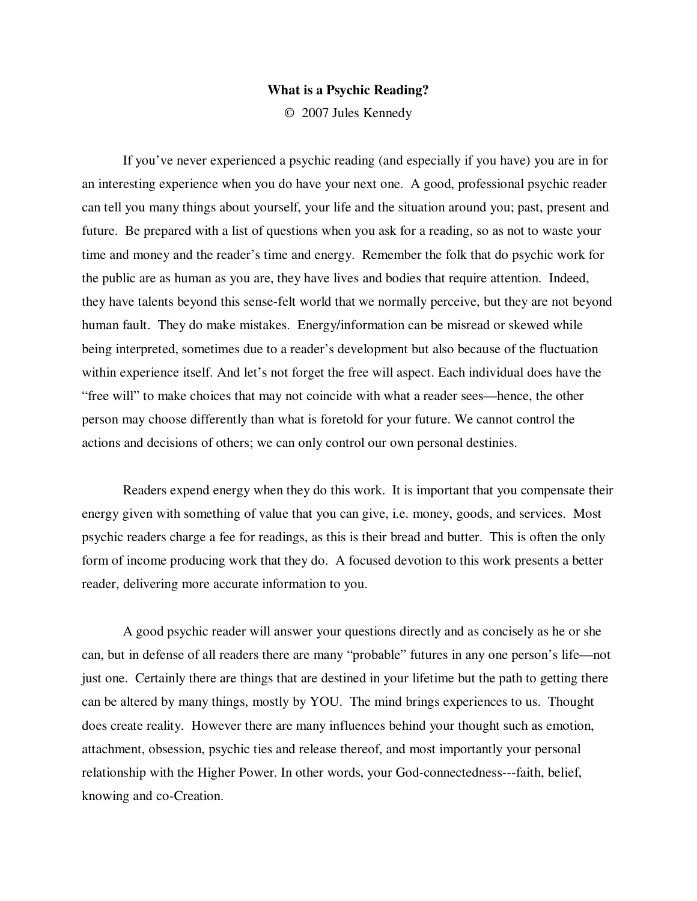## **What is a Psychic Reading?**

© 2007 Jules Kennedy

If you've never experienced a psychic reading (and especially if you have) you are in for an interesting experience when you do have your next one. A good, professional psychic reader can tell you many things about yourself, your life and the situation around you; past, present and future. Be prepared with a list of questions when you ask for a reading, so as not to waste your time and money and the reader's time and energy. Remember the folk that do psychic work for the public are as human as you are, they have lives and bodies that require attention. Indeed, they have talents beyond this sense-felt world that we normally perceive, but they are not beyond human fault. They do make mistakes. Energy/information can be misread or skewed while being interpreted, sometimes due to a reader's development but also because of the fluctuation within experience itself. And let's not forget the free will aspect. Each individual does have the "free will" to make choices that may not coincide with what a reader sees—hence, the other person may choose differently than what is foretold for your future. We cannot control the actions and decisions of others; we can only control our own personal destinies.

Readers expend energy when they do this work. It is important that you compensate their energy given with something of value that you can give, i.e. money, goods, and services. Most psychic readers charge a fee for readings, as this is their bread and butter. This is often the only form of income producing work that they do. A focused devotion to this work presents a better reader, delivering more accurate information to you.

A good psychic reader will answer your questions directly and as concisely as he or she can, but in defense of all readers there are many "probable" futures in any one person's life—not just one. Certainly there are things that are destined in your lifetime but the path to getting there can be altered by many things, mostly by YOU. The mind brings experiences to us. Thought does create reality. However there are many influences behind your thought such as emotion, attachment, obsession, psychic ties and release thereof, and most importantly your personal relationship with the Higher Power. In other words, your God-connectedness---faith, belief, knowing and co-Creation.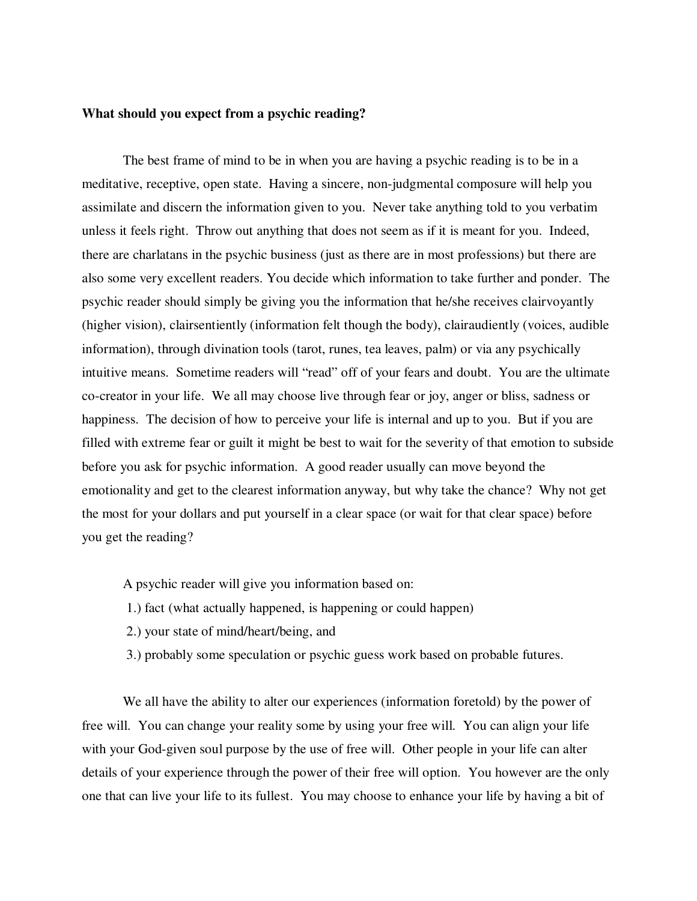## **What should you expect from a psychic reading?**

The best frame of mind to be in when you are having a psychic reading is to be in a meditative, receptive, open state. Having a sincere, non-judgmental composure will help you assimilate and discern the information given to you. Never take anything told to you verbatim unless it feels right. Throw out anything that does not seem as if it is meant for you. Indeed, there are charlatans in the psychic business (just as there are in most professions) but there are also some very excellent readers. You decide which information to take further and ponder. The psychic reader should simply be giving you the information that he/she receives clairvoyantly (higher vision), clairsentiently (information felt though the body), clairaudiently (voices, audible information), through divination tools (tarot, runes, tea leaves, palm) or via any psychically intuitive means. Sometime readers will "read" off of your fears and doubt. You are the ultimate co-creator in your life. We all may choose live through fear or joy, anger or bliss, sadness or happiness. The decision of how to perceive your life is internal and up to you. But if you are filled with extreme fear or guilt it might be best to wait for the severity of that emotion to subside before you ask for psychic information. A good reader usually can move beyond the emotionality and get to the clearest information anyway, but why take the chance? Why not get the most for your dollars and put yourself in a clear space (or wait for that clear space) before you get the reading?

A psychic reader will give you information based on:

- 1.) fact (what actually happened, is happening or could happen)
- 2.) your state of mind/heart/being, and
- 3.) probably some speculation or psychic guess work based on probable futures.

We all have the ability to alter our experiences (information foretold) by the power of free will. You can change your reality some by using your free will. You can align your life with your God-given soul purpose by the use of free will. Other people in your life can alter details of your experience through the power of their free will option. You however are the only one that can live your life to its fullest. You may choose to enhance your life by having a bit of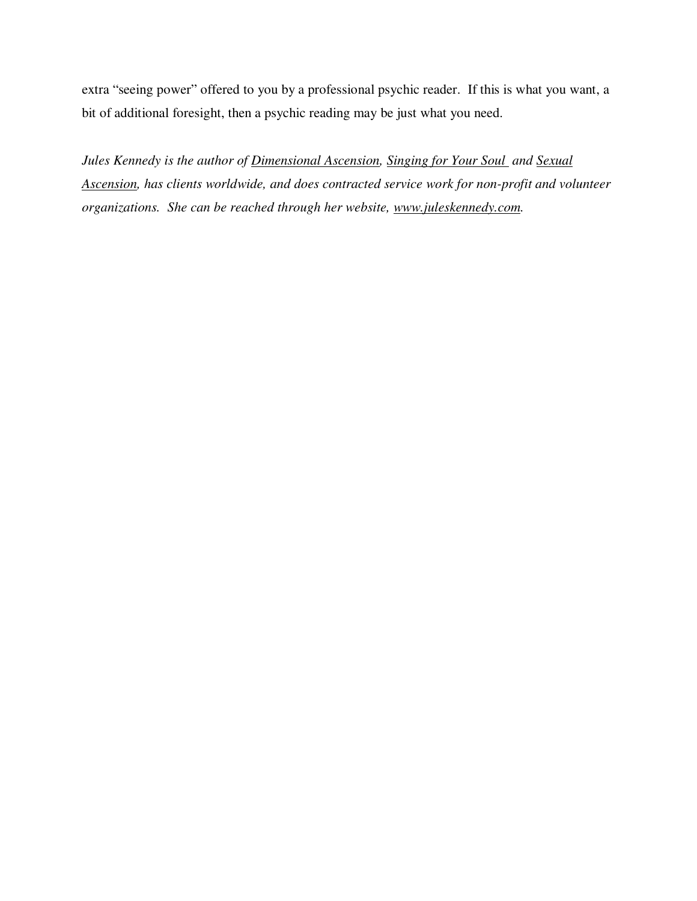extra "seeing power" offered to you by a professional psychic reader. If this is what you want, a bit of additional foresight, then a psychic reading may be just what you need.

*Jules Kennedy is the author of Dimensional Ascension, Singing for Your Soul and Sexual Ascension, has clients worldwide, and does contracted service work for non-profit and volunteer organizations. She can be reached through her website, www.juleskennedy.com.*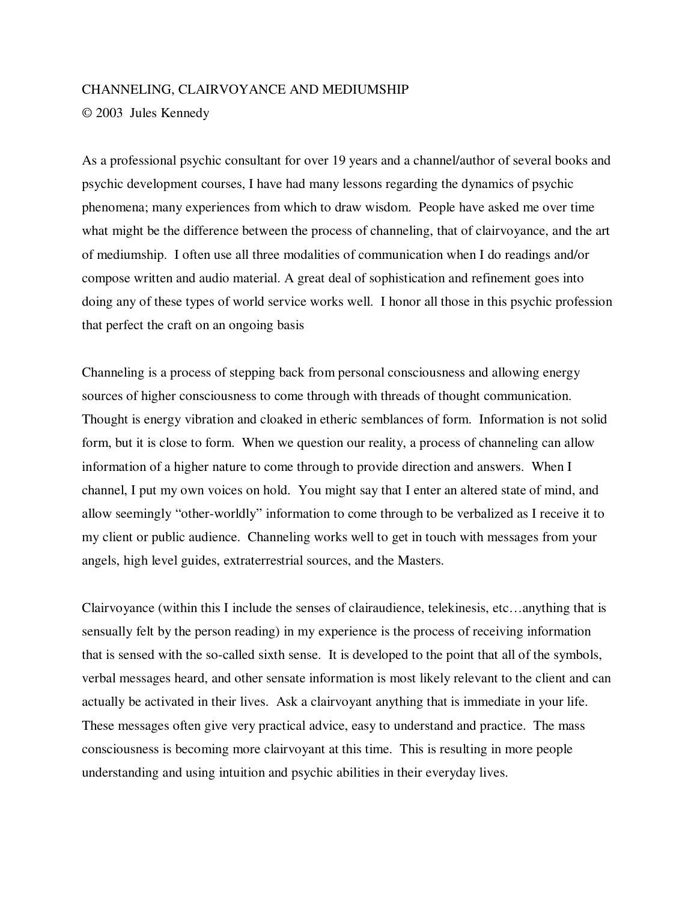## CHANNELING, CLAIRVOYANCE AND MEDIUMSHIP

© 2003 Jules Kennedy

As a professional psychic consultant for over 19 years and a channel/author of several books and psychic development courses, I have had many lessons regarding the dynamics of psychic phenomena; many experiences from which to draw wisdom. People have asked me over time what might be the difference between the process of channeling, that of clairvoyance, and the art of mediumship. I often use all three modalities of communication when I do readings and/or compose written and audio material. A great deal of sophistication and refinement goes into doing any of these types of world service works well. I honor all those in this psychic profession that perfect the craft on an ongoing basis

Channeling is a process of stepping back from personal consciousness and allowing energy sources of higher consciousness to come through with threads of thought communication. Thought is energy vibration and cloaked in etheric semblances of form. Information is not solid form, but it is close to form. When we question our reality, a process of channeling can allow information of a higher nature to come through to provide direction and answers. When I channel, I put my own voices on hold. You might say that I enter an altered state of mind, and allow seemingly "other-worldly" information to come through to be verbalized as I receive it to my client or public audience. Channeling works well to get in touch with messages from your angels, high level guides, extraterrestrial sources, and the Masters.

Clairvoyance (within this I include the senses of clairaudience, telekinesis, etc…anything that is sensually felt by the person reading) in my experience is the process of receiving information that is sensed with the so-called sixth sense. It is developed to the point that all of the symbols, verbal messages heard, and other sensate information is most likely relevant to the client and can actually be activated in their lives. Ask a clairvoyant anything that is immediate in your life. These messages often give very practical advice, easy to understand and practice. The mass consciousness is becoming more clairvoyant at this time. This is resulting in more people understanding and using intuition and psychic abilities in their everyday lives.